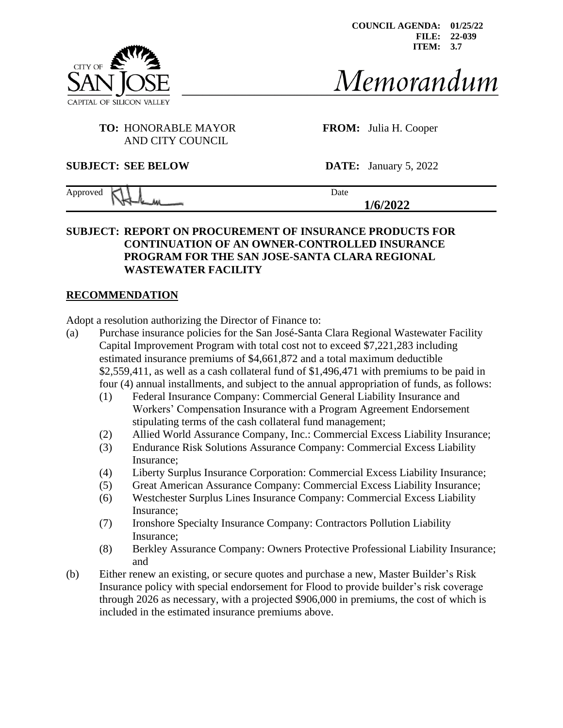**COUNCIL AGENDA: 01/25/22 FILE: 22-039 ITEM: 3.7**



Memorandum

## **TO:** HONORABLE MAYOR **FROM:** Julia H. Cooper AND CITY COUNCIL

**SUBJECT: SEE BELOW DATE:** January 5, 2022

| Approved |  |  | Date         |
|----------|--|--|--------------|
|          |  |  | 12022<br>767 |

### **SUBJECT: REPORT ON PROCUREMENT OF INSURANCE PRODUCTS FOR CONTINUATION OF AN OWNER-CONTROLLED INSURANCE PROGRAM FOR THE SAN JOSE-SANTA CLARA REGIONAL WASTEWATER FACILITY**

#### **RECOMMENDATION**

Adopt a resolution authorizing the Director of Finance to:

- (a) Purchase insurance policies for the San José-Santa Clara Regional Wastewater Facility Capital Improvement Program with total cost not to exceed \$7,221,283 including estimated insurance premiums of \$4,661,872 and a total maximum deductible \$2,559,411, as well as a cash collateral fund of \$1,496,471 with premiums to be paid in four (4) annual installments, and subject to the annual appropriation of funds, as follows:
	- (1) Federal Insurance Company: Commercial General Liability Insurance and Workers' Compensation Insurance with a Program Agreement Endorsement stipulating terms of the cash collateral fund management;
	- (2) Allied World Assurance Company, Inc.: Commercial Excess Liability Insurance;
	- (3) Endurance Risk Solutions Assurance Company: Commercial Excess Liability Insurance;
	- (4) Liberty Surplus Insurance Corporation: Commercial Excess Liability Insurance;
	- (5) Great American Assurance Company: Commercial Excess Liability Insurance;
	- (6) Westchester Surplus Lines Insurance Company: Commercial Excess Liability Insurance;
	- (7) Ironshore Specialty Insurance Company: Contractors Pollution Liability Insurance;
	- (8) Berkley Assurance Company: Owners Protective Professional Liability Insurance; and
- (b) Either renew an existing, or secure quotes and purchase a new, Master Builder's Risk Insurance policy with special endorsement for Flood to provide builder's risk coverage through 2026 as necessary, with a projected \$906,000 in premiums, the cost of which is included in the estimated insurance premiums above.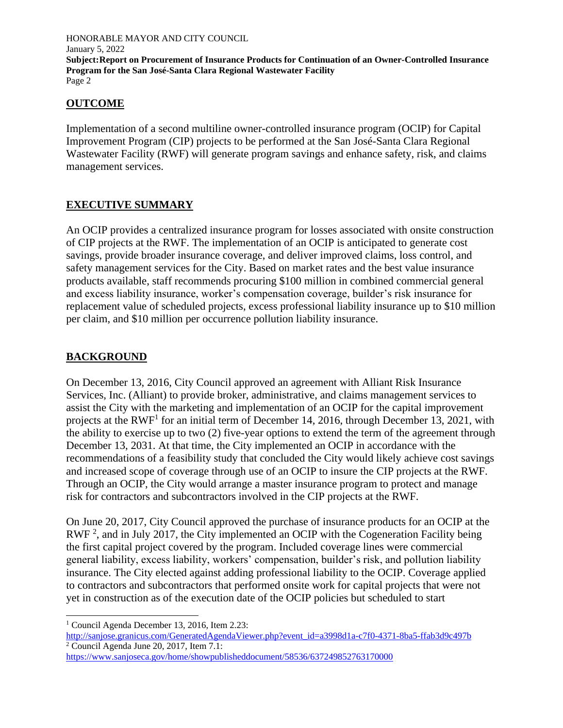## **OUTCOME**

Implementation of a second multiline owner-controlled insurance program (OCIP) for Capital Improvement Program (CIP) projects to be performed at the San José-Santa Clara Regional Wastewater Facility (RWF) will generate program savings and enhance safety, risk, and claims management services.

# **EXECUTIVE SUMMARY**

An OCIP provides a centralized insurance program for losses associated with onsite construction of CIP projects at the RWF. The implementation of an OCIP is anticipated to generate cost savings, provide broader insurance coverage, and deliver improved claims, loss control, and safety management services for the City. Based on market rates and the best value insurance products available, staff recommends procuring \$100 million in combined commercial general and excess liability insurance, worker's compensation coverage, builder's risk insurance for replacement value of scheduled projects, excess professional liability insurance up to \$10 million per claim, and \$10 million per occurrence pollution liability insurance.

# **BACKGROUND**

On December 13, 2016, City Council approved an agreement with Alliant Risk Insurance Services, Inc. (Alliant) to provide broker, administrative, and claims management services to assist the City with the marketing and implementation of an OCIP for the capital improvement projects at the RWF<sup>1</sup> for an initial term of December 14, 2016, through December 13, 2021, with the ability to exercise up to two (2) five-year options to extend the term of the agreement through December 13, 2031. At that time, the City implemented an OCIP in accordance with the recommendations of a feasibility study that concluded the City would likely achieve cost savings and increased scope of coverage through use of an OCIP to insure the CIP projects at the RWF. Through an OCIP, the City would arrange a master insurance program to protect and manage risk for contractors and subcontractors involved in the CIP projects at the RWF.

On June 20, 2017, City Council approved the purchase of insurance products for an OCIP at the RWF<sup>2</sup>, and in July 2017, the City implemented an OCIP with the Cogeneration Facility being the first capital project covered by the program. Included coverage lines were commercial general liability, excess liability, workers' compensation, builder's risk, and pollution liability insurance. The City elected against adding professional liability to the OCIP. Coverage applied to contractors and subcontractors that performed onsite work for capital projects that were not yet in construction as of the execution date of the OCIP policies but scheduled to start

<https://www.sanjoseca.gov/home/showpublisheddocument/58536/637249852763170000>

<sup>1</sup> Council Agenda December 13, 2016, Item 2.23:

[http://sanjose.granicus.com/GeneratedAgendaViewer.php?event\\_id=a3998d1a-c7f0-4371-8ba5-ffab3d9c497b](http://sanjose.granicus.com/GeneratedAgendaViewer.php?event_id=a3998d1a-c7f0-4371-8ba5-ffab3d9c497b)  $2^2$  Council Agenda June 20, 2017, Item 7.1: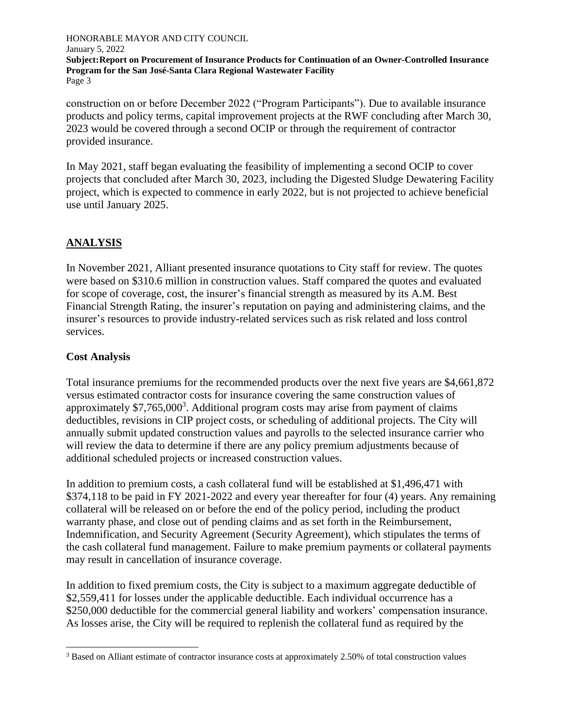construction on or before December 2022 ("Program Participants"). Due to available insurance products and policy terms, capital improvement projects at the RWF concluding after March 30, 2023 would be covered through a second OCIP or through the requirement of contractor provided insurance.

In May 2021, staff began evaluating the feasibility of implementing a second OCIP to cover projects that concluded after March 30, 2023, including the Digested Sludge Dewatering Facility project, which is expected to commence in early 2022, but is not projected to achieve beneficial use until January 2025.

# **ANALYSIS**

In November 2021, Alliant presented insurance quotations to City staff for review. The quotes were based on \$310.6 million in construction values. Staff compared the quotes and evaluated for scope of coverage, cost, the insurer's financial strength as measured by its A.M. Best Financial Strength Rating, the insurer's reputation on paying and administering claims, and the insurer's resources to provide industry-related services such as risk related and loss control services.

## **Cost Analysis**

Total insurance premiums for the recommended products over the next five years are \$4,661,872 versus estimated contractor costs for insurance covering the same construction values of approximately  $$7,765,000^3$ . Additional program costs may arise from payment of claims deductibles, revisions in CIP project costs, or scheduling of additional projects. The City will annually submit updated construction values and payrolls to the selected insurance carrier who will review the data to determine if there are any policy premium adjustments because of additional scheduled projects or increased construction values.

In addition to premium costs, a cash collateral fund will be established at \$1,496,471 with \$374,118 to be paid in FY 2021-2022 and every year thereafter for four (4) years. Any remaining collateral will be released on or before the end of the policy period, including the product warranty phase, and close out of pending claims and as set forth in the Reimbursement, Indemnification, and Security Agreement (Security Agreement), which stipulates the terms of the cash collateral fund management. Failure to make premium payments or collateral payments may result in cancellation of insurance coverage.

In addition to fixed premium costs, the City is subject to a maximum aggregate deductible of \$2,559,411 for losses under the applicable deductible. Each individual occurrence has a \$250,000 deductible for the commercial general liability and workers' compensation insurance. As losses arise, the City will be required to replenish the collateral fund as required by the

<sup>3</sup> Based on Alliant estimate of contractor insurance costs at approximately 2.50% of total construction values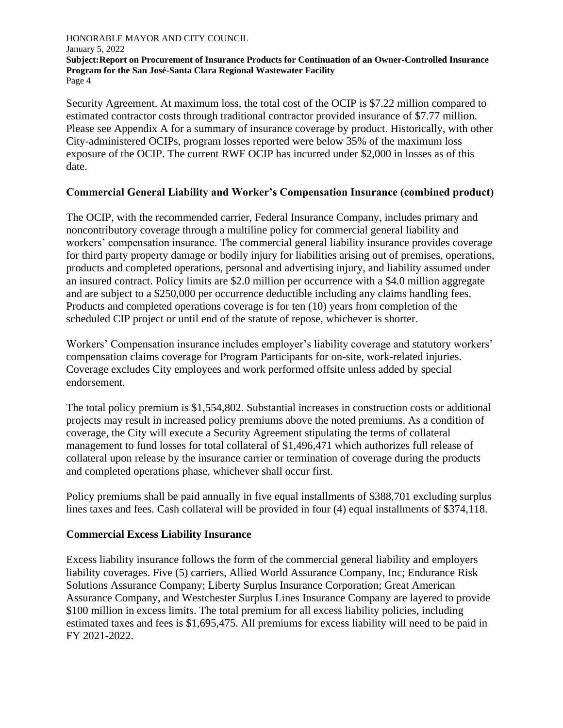Security Agreement. At maximum loss, the total cost of the OCIP is \$7.22 million compared to estimated contractor costs through traditional contractor provided insurance of \$7.77 million. Please see Appendix A for a summary of insurance coverage by product. Historically, with other City-administered OCIPs, program losses reported were below 35% of the maximum loss exposure of the OCIP. The current RWF OCIP has incurred under \$2,000 in losses as of this date.

## **Commercial General Liability and Worker's Compensation Insurance (combined product)**

The OCIP, with the recommended carrier, Federal Insurance Company, includes primary and noncontributory coverage through a multiline policy for commercial general liability and workers' compensation insurance. The commercial general liability insurance provides coverage for third party property damage or bodily injury for liabilities arising out of premises, operations, products and completed operations, personal and advertising injury, and liability assumed under an insured contract. Policy limits are \$2.0 million per occurrence with a \$4.0 million aggregate and are subject to a \$250,000 per occurrence deductible including any claims handling fees. Products and completed operations coverage is for ten (10) years from completion of the scheduled CIP project or until end of the statute of repose, whichever is shorter.

Workers' Compensation insurance includes employer's liability coverage and statutory workers' compensation claims coverage for Program Participants for on-site, work-related injuries. Coverage excludes City employees and work performed offsite unless added by special endorsement.

The total policy premium is \$1,554,802. Substantial increases in construction costs or additional projects may result in increased policy premiums above the noted premiums. As a condition of coverage, the City will execute a Security Agreement stipulating the terms of collateral management to fund losses for total collateral of \$1,496,471 which authorizes full release of collateral upon release by the insurance carrier or termination of coverage during the products and completed operations phase, whichever shall occur first.

Policy premiums shall be paid annually in five equal installments of \$388,701 excluding surplus lines taxes and fees. Cash collateral will be provided in four (4) equal installments of \$374,118.

#### **Commercial Excess Liability Insurance**

Excess liability insurance follows the form of the commercial general liability and employers liability coverages. Five (5) carriers, Allied World Assurance Company, Inc; Endurance Risk Solutions Assurance Company; Liberty Surplus Insurance Corporation; Great American Assurance Company, and Westchester Surplus Lines Insurance Company are layered to provide \$100 million in excess limits. The total premium for all excess liability policies, including estimated taxes and fees is \$1,695,475. All premiums for excess liability will need to be paid in FY 2021-2022.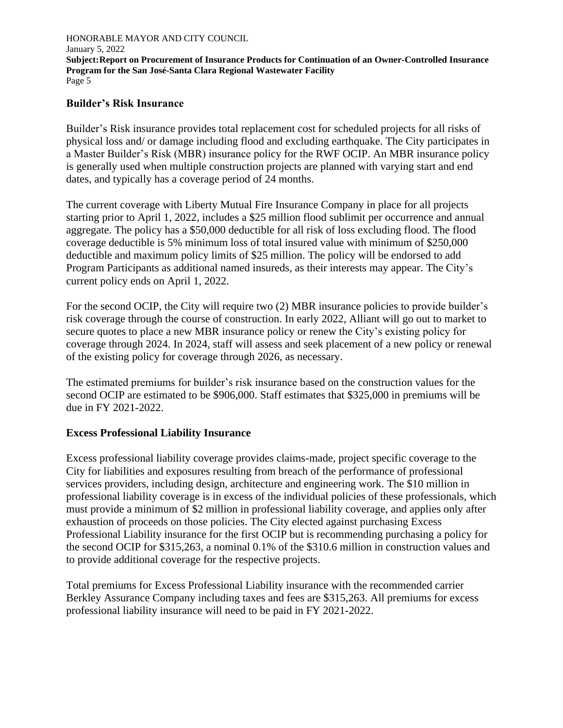#### **Builder's Risk Insurance**

Builder's Risk insurance provides total replacement cost for scheduled projects for all risks of physical loss and/ or damage including flood and excluding earthquake. The City participates in a Master Builder's Risk (MBR) insurance policy for the RWF OCIP. An MBR insurance policy is generally used when multiple construction projects are planned with varying start and end dates, and typically has a coverage period of 24 months.

The current coverage with Liberty Mutual Fire Insurance Company in place for all projects starting prior to April 1, 2022, includes a \$25 million flood sublimit per occurrence and annual aggregate. The policy has a \$50,000 deductible for all risk of loss excluding flood. The flood coverage deductible is 5% minimum loss of total insured value with minimum of \$250,000 deductible and maximum policy limits of \$25 million. The policy will be endorsed to add Program Participants as additional named insureds, as their interests may appear. The City's current policy ends on April 1, 2022.

For the second OCIP, the City will require two (2) MBR insurance policies to provide builder's risk coverage through the course of construction. In early 2022, Alliant will go out to market to secure quotes to place a new MBR insurance policy or renew the City's existing policy for coverage through 2024. In 2024, staff will assess and seek placement of a new policy or renewal of the existing policy for coverage through 2026, as necessary.

The estimated premiums for builder's risk insurance based on the construction values for the second OCIP are estimated to be \$906,000. Staff estimates that \$325,000 in premiums will be due in FY 2021-2022.

#### **Excess Professional Liability Insurance**

Excess professional liability coverage provides claims-made, project specific coverage to the City for liabilities and exposures resulting from breach of the performance of professional services providers, including design, architecture and engineering work. The \$10 million in professional liability coverage is in excess of the individual policies of these professionals, which must provide a minimum of \$2 million in professional liability coverage, and applies only after exhaustion of proceeds on those policies. The City elected against purchasing Excess Professional Liability insurance for the first OCIP but is recommending purchasing a policy for the second OCIP for \$315,263, a nominal 0.1% of the \$310.6 million in construction values and to provide additional coverage for the respective projects.

Total premiums for Excess Professional Liability insurance with the recommended carrier Berkley Assurance Company including taxes and fees are \$315,263. All premiums for excess professional liability insurance will need to be paid in FY 2021-2022.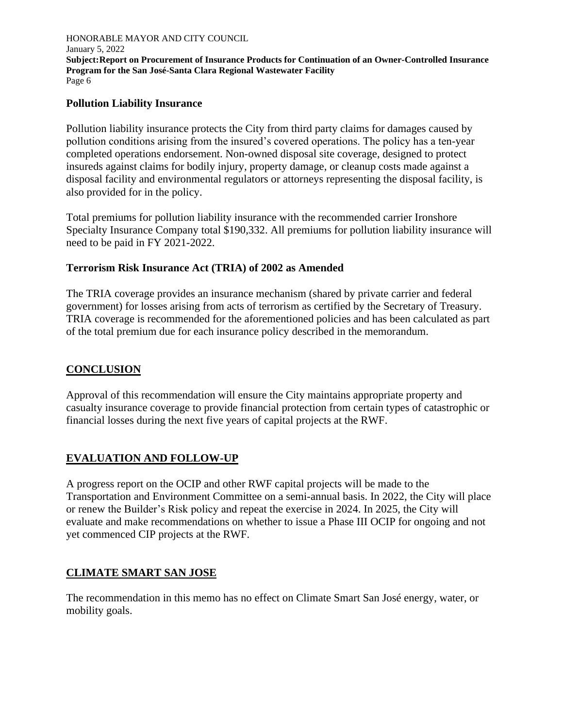## **Pollution Liability Insurance**

Pollution liability insurance protects the City from third party claims for damages caused by pollution conditions arising from the insured's covered operations. The policy has a ten-year completed operations endorsement. Non-owned disposal site coverage, designed to protect insureds against claims for bodily injury, property damage, or cleanup costs made against a disposal facility and environmental regulators or attorneys representing the disposal facility, is also provided for in the policy.

Total premiums for pollution liability insurance with the recommended carrier Ironshore Specialty Insurance Company total \$190,332. All premiums for pollution liability insurance will need to be paid in FY 2021-2022.

## **Terrorism Risk Insurance Act (TRIA) of 2002 as Amended**

The TRIA coverage provides an insurance mechanism (shared by private carrier and federal government) for losses arising from acts of terrorism as certified by the Secretary of Treasury. TRIA coverage is recommended for the aforementioned policies and has been calculated as part of the total premium due for each insurance policy described in the memorandum.

## **CONCLUSION**

Approval of this recommendation will ensure the City maintains appropriate property and casualty insurance coverage to provide financial protection from certain types of catastrophic or financial losses during the next five years of capital projects at the RWF.

## **EVALUATION AND FOLLOW-UP**

A progress report on the OCIP and other RWF capital projects will be made to the Transportation and Environment Committee on a semi-annual basis. In 2022, the City will place or renew the Builder's Risk policy and repeat the exercise in 2024. In 2025, the City will evaluate and make recommendations on whether to issue a Phase III OCIP for ongoing and not yet commenced CIP projects at the RWF.

## **CLIMATE SMART SAN JOSE**

The recommendation in this memo has no effect on Climate Smart San José energy, water, or mobility goals.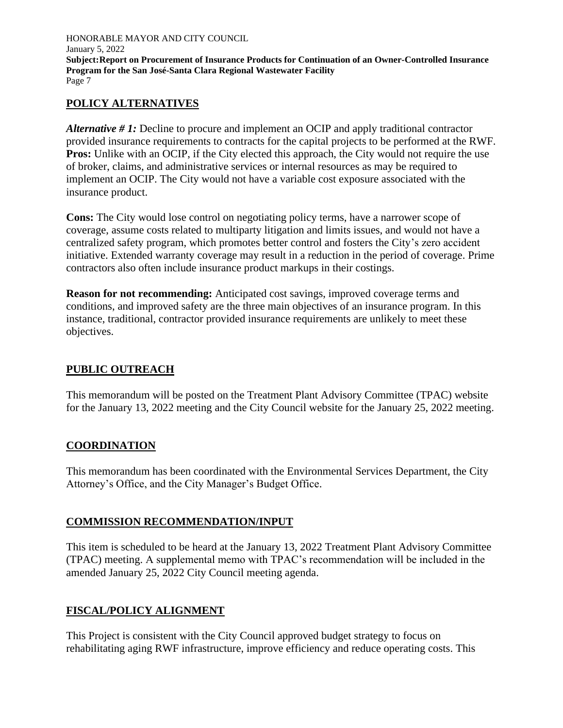## **POLICY ALTERNATIVES**

*Alternative # 1:* Decline to procure and implement an OCIP and apply traditional contractor provided insurance requirements to contracts for the capital projects to be performed at the RWF. **Pros:** Unlike with an OCIP, if the City elected this approach, the City would not require the use of broker, claims, and administrative services or internal resources as may be required to implement an OCIP. The City would not have a variable cost exposure associated with the insurance product.

**Cons:** The City would lose control on negotiating policy terms, have a narrower scope of coverage, assume costs related to multiparty litigation and limits issues, and would not have a centralized safety program, which promotes better control and fosters the City's zero accident initiative. Extended warranty coverage may result in a reduction in the period of coverage. Prime contractors also often include insurance product markups in their costings.

**Reason for not recommending:** Anticipated cost savings, improved coverage terms and conditions, and improved safety are the three main objectives of an insurance program. In this instance, traditional, contractor provided insurance requirements are unlikely to meet these objectives.

## **PUBLIC OUTREACH**

This memorandum will be posted on the Treatment Plant Advisory Committee (TPAC) website for the January 13, 2022 meeting and the City Council website for the January 25, 2022 meeting.

## **COORDINATION**

This memorandum has been coordinated with the Environmental Services Department, the City Attorney's Office, and the City Manager's Budget Office.

#### **COMMISSION RECOMMENDATION/INPUT**

This item is scheduled to be heard at the January 13, 2022 Treatment Plant Advisory Committee (TPAC) meeting. A supplemental memo with TPAC's recommendation will be included in the amended January 25, 2022 City Council meeting agenda.

## **FISCAL/POLICY ALIGNMENT**

This Project is consistent with the City Council approved budget strategy to focus on rehabilitating aging RWF infrastructure, improve efficiency and reduce operating costs. This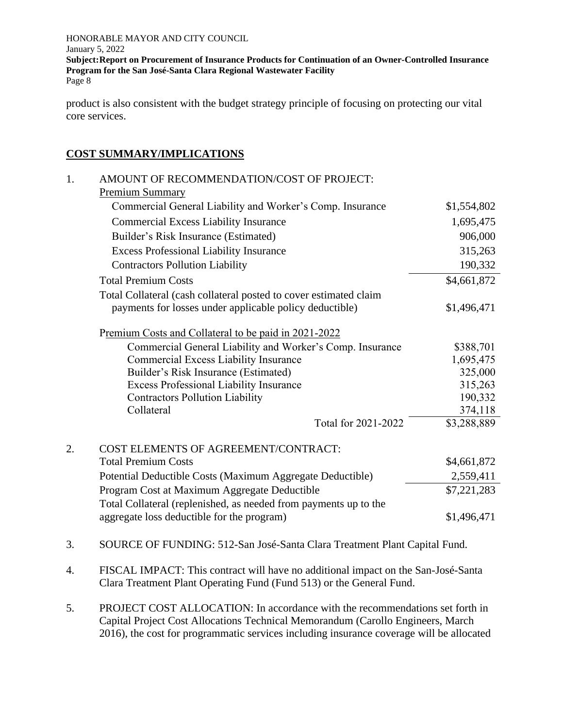product is also consistent with the budget strategy principle of focusing on protecting our vital core services.

## **COST SUMMARY/IMPLICATIONS**

| 1. | AMOUNT OF RECOMMENDATION/COST OF PROJECT:                         |             |
|----|-------------------------------------------------------------------|-------------|
|    | <b>Premium Summary</b>                                            |             |
|    | Commercial General Liability and Worker's Comp. Insurance         | \$1,554,802 |
|    | <b>Commercial Excess Liability Insurance</b>                      | 1,695,475   |
|    | Builder's Risk Insurance (Estimated)                              | 906,000     |
|    | <b>Excess Professional Liability Insurance</b>                    | 315,263     |
|    | <b>Contractors Pollution Liability</b>                            | 190,332     |
|    | <b>Total Premium Costs</b>                                        | \$4,661,872 |
|    | Total Collateral (cash collateral posted to cover estimated claim |             |
|    | payments for losses under applicable policy deductible)           | \$1,496,471 |
|    | Premium Costs and Collateral to be paid in 2021-2022              |             |
|    | Commercial General Liability and Worker's Comp. Insurance         | \$388,701   |
|    | <b>Commercial Excess Liability Insurance</b>                      | 1,695,475   |
|    | Builder's Risk Insurance (Estimated)                              | 325,000     |
|    | <b>Excess Professional Liability Insurance</b>                    | 315,263     |
|    | <b>Contractors Pollution Liability</b>                            | 190,332     |
|    | Collateral                                                        | 374,118     |
|    | Total for 2021-2022                                               | \$3,288,889 |
| 2. | COST ELEMENTS OF AGREEMENT/CONTRACT:                              |             |
|    | <b>Total Premium Costs</b>                                        | \$4,661,872 |
|    | Potential Deductible Costs (Maximum Aggregate Deductible)         | 2,559,411   |
|    | Program Cost at Maximum Aggregate Deductible                      | \$7,221,283 |
|    | Total Collateral (replenished, as needed from payments up to the  |             |
|    | aggregate loss deductible for the program)                        | \$1,496,471 |
|    |                                                                   |             |

- 3. SOURCE OF FUNDING: 512-San José-Santa Clara Treatment Plant Capital Fund.
- 4. FISCAL IMPACT: This contract will have no additional impact on the San-José-Santa Clara Treatment Plant Operating Fund (Fund 513) or the General Fund.
- 5. PROJECT COST ALLOCATION: In accordance with the recommendations set forth in Capital Project Cost Allocations Technical Memorandum (Carollo Engineers, March 2016), the cost for programmatic services including insurance coverage will be allocated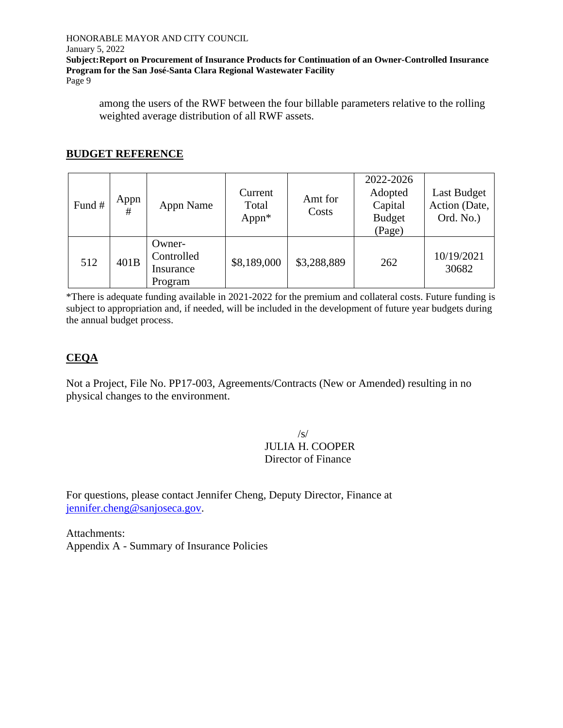#### HONORABLE MAYOR AND CITY COUNCIL

#### January 5, 2022

**Subject:Report on Procurement of Insurance Products for Continuation of an Owner-Controlled Insurance Program for the San José-Santa Clara Regional Wastewater Facility**

Page 9

among the users of the RWF between the four billable parameters relative to the rolling weighted average distribution of all RWF assets.

## **BUDGET REFERENCE**

| Fund # | Appn<br># | Appn Name                                    | Current<br>Total<br>Appn* | Amt for<br>Costs | 2022-2026<br>Adopted<br>Capital<br><b>Budget</b><br>(Page) | Last Budget<br>Action (Date,<br>Ord. No.) |
|--------|-----------|----------------------------------------------|---------------------------|------------------|------------------------------------------------------------|-------------------------------------------|
| 512    | 401B      | Owner-<br>Controlled<br>Insurance<br>Program | \$8,189,000               | \$3,288,889      | 262                                                        | 10/19/2021<br>30682                       |

\*There is adequate funding available in 2021-2022 for the premium and collateral costs. Future funding is subject to appropriation and, if needed, will be included in the development of future year budgets during the annual budget process.

## **CEQA**

Not a Project, File No. PP17-003, Agreements/Contracts (New or Amended) resulting in no physical changes to the environment.

> /s/ JULIA H. COOPER Director of Finance

For questions, please contact Jennifer Cheng, Deputy Director, Finance at [jennifer.cheng@sanjoseca.gov.](mailto:jennifer.cheng@sanjoseca.gov)

Attachments: Appendix A - Summary of Insurance Policies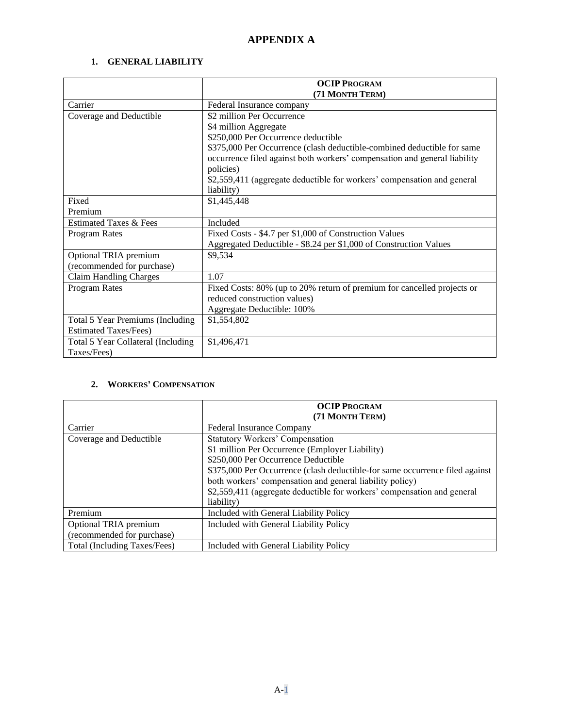# **APPENDIX A**

#### **1. GENERAL LIABILITY**

|                                                   | <b>OCIP PROGRAM</b><br>(71 MONTH TERM)                                                                                                                            |
|---------------------------------------------------|-------------------------------------------------------------------------------------------------------------------------------------------------------------------|
| Carrier                                           | Federal Insurance company                                                                                                                                         |
| Coverage and Deductible                           | \$2 million Per Occurrence                                                                                                                                        |
|                                                   | \$4 million Aggregate                                                                                                                                             |
|                                                   | \$250,000 Per Occurrence deductible                                                                                                                               |
|                                                   | \$375,000 Per Occurrence (clash deductible-combined deductible for same<br>occurrence filed against both workers' compensation and general liability<br>policies) |
|                                                   | \$2,559,411 (aggregate deductible for workers' compensation and general                                                                                           |
|                                                   | liability)                                                                                                                                                        |
| Fixed                                             | \$1,445,448                                                                                                                                                       |
| Premium                                           |                                                                                                                                                                   |
| <b>Estimated Taxes &amp; Fees</b>                 | Included                                                                                                                                                          |
| Program Rates                                     | Fixed Costs - \$4.7 per \$1,000 of Construction Values                                                                                                            |
|                                                   | Aggregated Deductible - \$8.24 per \$1,000 of Construction Values                                                                                                 |
| Optional TRIA premium                             | \$9,534                                                                                                                                                           |
| (recommended for purchase)                        |                                                                                                                                                                   |
| <b>Claim Handling Charges</b>                     | 1.07                                                                                                                                                              |
| Program Rates                                     | Fixed Costs: 80% (up to 20% return of premium for cancelled projects or<br>reduced construction values)<br>Aggregate Deductible: 100%                             |
| Total 5 Year Premiums (Including                  | \$1,554,802                                                                                                                                                       |
| <b>Estimated Taxes/Fees)</b>                      |                                                                                                                                                                   |
| Total 5 Year Collateral (Including<br>Taxes/Fees) | \$1,496,471                                                                                                                                                       |

#### **2. WORKERS' COMPENSATION**

|                              | <b>OCIP PROGRAM</b>                                                          |
|------------------------------|------------------------------------------------------------------------------|
|                              | (71 MONTH TERM)                                                              |
| Carrier                      | <b>Federal Insurance Company</b>                                             |
| Coverage and Deductible      | <b>Statutory Workers' Compensation</b>                                       |
|                              | \$1 million Per Occurrence (Employer Liability)                              |
|                              | \$250,000 Per Occurrence Deductible                                          |
|                              | \$375,000 Per Occurrence (clash deductible-for same occurrence filed against |
|                              | both workers' compensation and general liability policy)                     |
|                              | \$2,559,411 (aggregate deductible for workers' compensation and general      |
|                              | liability)                                                                   |
| Premium                      | Included with General Liability Policy                                       |
| Optional TRIA premium        | Included with General Liability Policy                                       |
| (recommended for purchase)   |                                                                              |
| Total (Including Taxes/Fees) | Included with General Liability Policy                                       |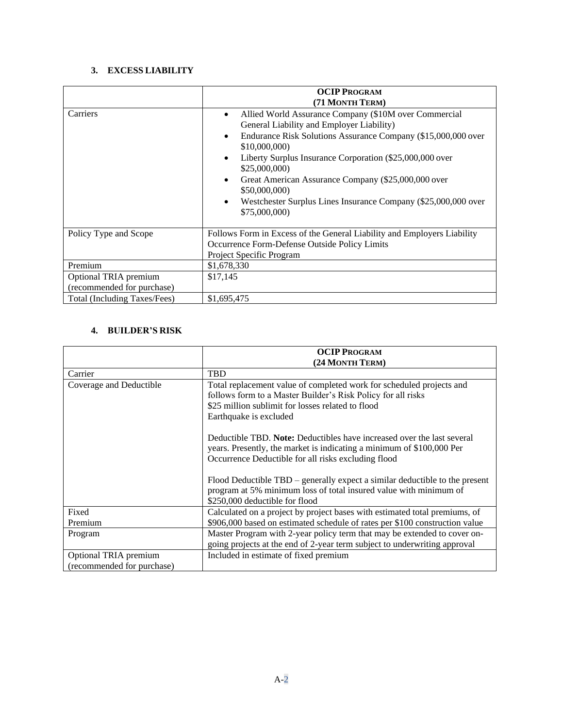#### **3. EXCESS LIABILITY**

|                                                     | <b>OCIP PROGRAM</b><br>(71 MONTH TERM)                                                                                                                                                                                                                                                                                                                                                                                                                           |
|-----------------------------------------------------|------------------------------------------------------------------------------------------------------------------------------------------------------------------------------------------------------------------------------------------------------------------------------------------------------------------------------------------------------------------------------------------------------------------------------------------------------------------|
| Carriers                                            | Allied World Assurance Company (\$10M over Commercial<br>$\bullet$<br>General Liability and Employer Liability)<br>Endurance Risk Solutions Assurance Company (\$15,000,000 over<br>$\bullet$<br>\$10,000,000)<br>Liberty Surplus Insurance Corporation (\$25,000,000 over<br>\$25,000,000)<br>Great American Assurance Company (\$25,000,000 over<br>٠<br>\$50,000,000)<br>Westchester Surplus Lines Insurance Company (\$25,000,000 over<br>٠<br>\$75,000,000) |
| Policy Type and Scope                               | Follows Form in Excess of the General Liability and Employers Liability<br>Occurrence Form-Defense Outside Policy Limits<br>Project Specific Program                                                                                                                                                                                                                                                                                                             |
| Premium                                             | \$1,678,330                                                                                                                                                                                                                                                                                                                                                                                                                                                      |
| Optional TRIA premium<br>(recommended for purchase) | \$17,145                                                                                                                                                                                                                                                                                                                                                                                                                                                         |
| Total (Including Taxes/Fees)                        | \$1,695,475                                                                                                                                                                                                                                                                                                                                                                                                                                                      |

## **4. BUILDER'S RISK**

|                                                     | <b>OCIP PROGRAM</b>                                                                                                                                                                                                                                                                          |
|-----------------------------------------------------|----------------------------------------------------------------------------------------------------------------------------------------------------------------------------------------------------------------------------------------------------------------------------------------------|
|                                                     | (24 MONTH TERM)                                                                                                                                                                                                                                                                              |
| Carrier                                             | <b>TBD</b>                                                                                                                                                                                                                                                                                   |
| Coverage and Deductible                             | Total replacement value of completed work for scheduled projects and<br>follows form to a Master Builder's Risk Policy for all risks<br>\$25 million sublimit for losses related to flood<br>Earthquake is excluded                                                                          |
|                                                     | Deductible TBD. <b>Note:</b> Deductibles have increased over the last several<br>years. Presently, the market is indicating a minimum of \$100,000 Per<br>Occurrence Deductible for all risks excluding flood<br>Flood Deductible TBD – generally expect a similar deductible to the present |
|                                                     | program at 5% minimum loss of total insured value with minimum of<br>\$250,000 deductible for flood                                                                                                                                                                                          |
| Fixed                                               | Calculated on a project by project bases with estimated total premiums, of                                                                                                                                                                                                                   |
| Premium                                             | \$906,000 based on estimated schedule of rates per \$100 construction value                                                                                                                                                                                                                  |
| Program                                             | Master Program with 2-year policy term that may be extended to cover on-<br>going projects at the end of 2-year term subject to underwriting approval                                                                                                                                        |
| Optional TRIA premium<br>(recommended for purchase) | Included in estimate of fixed premium                                                                                                                                                                                                                                                        |